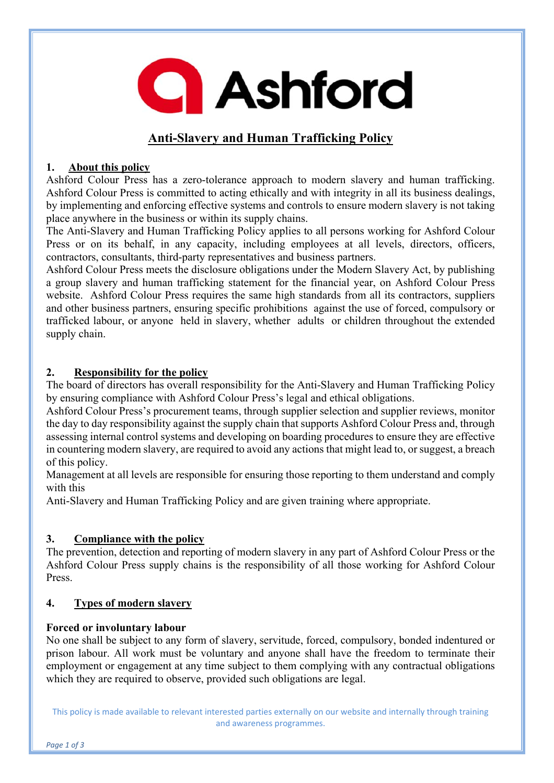**Q** Ashford

# **Anti-Slavery and Human Trafficking Policy**

# **1. About this policy**

Ashford Colour Press has a zero-tolerance approach to modern slavery and human trafficking. Ashford Colour Press is committed to acting ethically and with integrity in all its business dealings, by implementing and enforcing effective systems and controls to ensure modern slavery is not taking place anywhere in the business or within its supply chains.

The Anti-Slavery and Human Trafficking Policy applies to all persons working for Ashford Colour Press or on its behalf, in any capacity, including employees at all levels, directors, officers, contractors, consultants, third-party representatives and business partners.

Ashford Colour Press meets the disclosure obligations under the Modern Slavery Act, by publishing a group slavery and human trafficking statement for the financial year, on Ashford Colour Press website. Ashford Colour Press requires the same high standards from all its contractors, suppliers and other business partners, ensuring specific prohibitions against the use of forced, compulsory or trafficked labour, or anyone held in slavery, whether adults or children throughout the extended supply chain.

# **2. Responsibility for the policy**

The board of directors has overall responsibility for the Anti-Slavery and Human Trafficking Policy by ensuring compliance with Ashford Colour Press's legal and ethical obligations.

Ashford Colour Press's procurement teams, through supplier selection and supplier reviews, monitor the day to day responsibility against the supply chain that supports Ashford Colour Press and, through assessing internal control systems and developing on boarding procedures to ensure they are effective in countering modern slavery, are required to avoid any actions that might lead to, or suggest, a breach of this policy.

Management at all levels are responsible for ensuring those reporting to them understand and comply with this

Anti-Slavery and Human Trafficking Policy and are given training where appropriate.

# **3. Compliance with the policy**

The prevention, detection and reporting of modern slavery in any part of Ashford Colour Press or the Ashford Colour Press supply chains is the responsibility of all those working for Ashford Colour Press.

# **4. Types of modern slavery**

# **Forced or involuntary labour**

No one shall be subject to any form of slavery, servitude, forced, compulsory, bonded indentured or prison labour. All work must be voluntary and anyone shall have the freedom to terminate their employment or engagement at any time subject to them complying with any contractual obligations which they are required to observe, provided such obligations are legal.

This policy is made available to relevant interested parties externally on our website and internally through training and awareness programmes.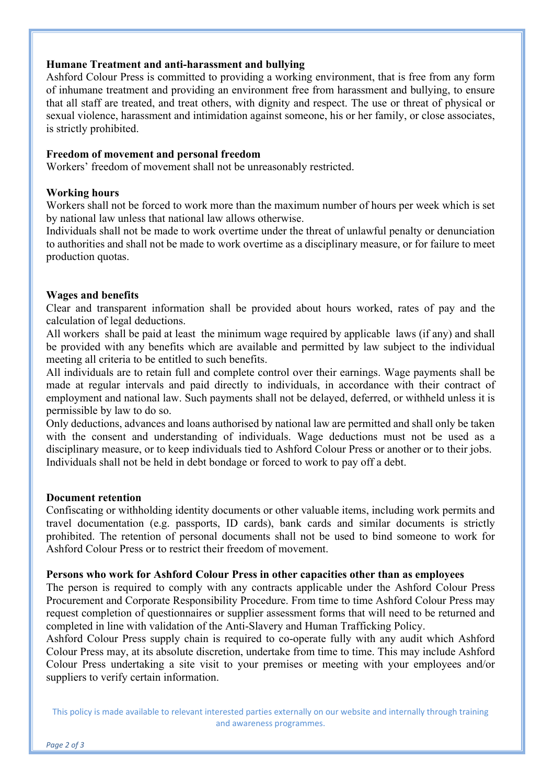### **Humane Treatment and anti-harassment and bullying**

Ashford Colour Press is committed to providing a working environment, that is free from any form of inhumane treatment and providing an environment free from harassment and bullying, to ensure that all staff are treated, and treat others, with dignity and respect. The use or threat of physical or sexual violence, harassment and intimidation against someone, his or her family, or close associates, is strictly prohibited.

### **Freedom of movement and personal freedom**

Workers' freedom of movement shall not be unreasonably restricted.

#### **Working hours**

Workers shall not be forced to work more than the maximum number of hours per week which is set by national law unless that national law allows otherwise.

Individuals shall not be made to work overtime under the threat of unlawful penalty or denunciation to authorities and shall not be made to work overtime as a disciplinary measure, or for failure to meet production quotas.

#### **Wages and benefits**

Clear and transparent information shall be provided about hours worked, rates of pay and the calculation of legal deductions.

All workers shall be paid at least the minimum wage required by applicable laws (if any) and shall be provided with any benefits which are available and permitted by law subject to the individual meeting all criteria to be entitled to such benefits.

All individuals are to retain full and complete control over their earnings. Wage payments shall be made at regular intervals and paid directly to individuals, in accordance with their contract of employment and national law. Such payments shall not be delayed, deferred, or withheld unless it is permissible by law to do so.

Only deductions, advances and loans authorised by national law are permitted and shall only be taken with the consent and understanding of individuals. Wage deductions must not be used as a disciplinary measure, or to keep individuals tied to Ashford Colour Press or another or to their jobs. Individuals shall not be held in debt bondage or forced to work to pay off a debt.

#### **Document retention**

Confiscating or withholding identity documents or other valuable items, including work permits and travel documentation (e.g. passports, ID cards), bank cards and similar documents is strictly prohibited. The retention of personal documents shall not be used to bind someone to work for Ashford Colour Press or to restrict their freedom of movement.

#### **Persons who work for Ashford Colour Press in other capacities other than as employees**

The person is required to comply with any contracts applicable under the Ashford Colour Press Procurement and Corporate Responsibility Procedure. From time to time Ashford Colour Press may request completion of questionnaires or supplier assessment forms that will need to be returned and completed in line with validation of the Anti-Slavery and Human Trafficking Policy.

Ashford Colour Press supply chain is required to co-operate fully with any audit which Ashford Colour Press may, at its absolute discretion, undertake from time to time. This may include Ashford Colour Press undertaking a site visit to your premises or meeting with your employees and/or suppliers to verify certain information.

This policy is made available to relevant interested parties externally on our website and internally through training and awareness programmes.